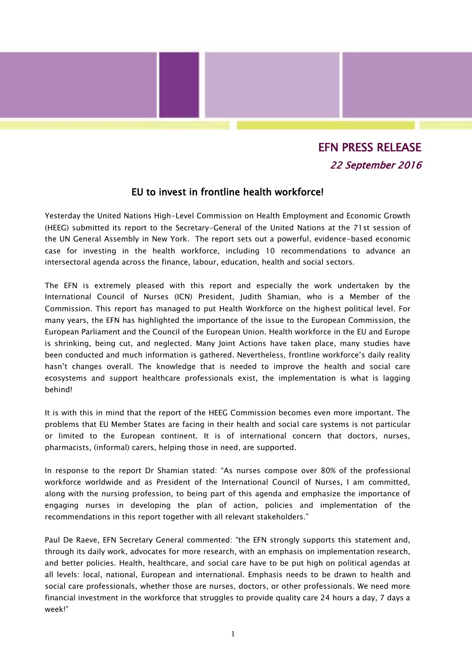## EFN PRESS RELEASE 22 September 2016

## EU to invest in frontline health workforce!

Yesterday the United Nations High-Level Commission on Health Employment and Economic Growth (HEEG) submitted its report to the Secretary-General of the United Nations at the 71st session of the UN General Assembly in New York. The report sets out a powerful, evidence-based economic case for investing in the health workforce, including 10 recommendations to advance an intersectoral agenda across the finance, labour, education, health and social sectors.

The EFN is extremely pleased with this report and especially the work undertaken by the International Council of Nurses (ICN) President, Judith Shamian, who is a Member of the Commission. This report has managed to put Health Workforce on the highest political level. For many years, the EFN has highlighted the importance of the issue to the European Commission, the European Parliament and the Council of the European Union. Health workforce in the EU and Europe is shrinking, being cut, and neglected. Many Joint Actions have taken place, many studies have been conducted and much information is gathered. Nevertheless, frontline workforce's daily reality hasn't changes overall. The knowledge that is needed to improve the health and social care ecosystems and support healthcare professionals exist, the implementation is what is lagging behind!

It is with this in mind that the report of the HEEG Commission becomes even more important. The problems that EU Member States are facing in their health and social care systems is not particular or limited to the European continent. It is of international concern that doctors, nurses, pharmacists, (informal) carers, helping those in need, are supported.

In response to the report Dr Shamian stated: "As nurses compose over 80% of the professional workforce worldwide and as President of the International Council of Nurses, I am committed, along with the nursing profession, to being part of this agenda and emphasize the importance of engaging nurses in developing the plan of action, policies and implementation of the recommendations in this report together with all relevant stakeholders."

Paul De Raeve, EFN Secretary General commented: "the EFN strongly supports this statement and, through its daily work, advocates for more research, with an emphasis on implementation research, and better policies. Health, healthcare, and social care have to be put high on political agendas at all levels: local, national, European and international. Emphasis needs to be drawn to health and social care professionals, whether those are nurses, doctors, or other professionals. We need more financial investment in the workforce that struggles to provide quality care 24 hours a day, 7 days a week!"